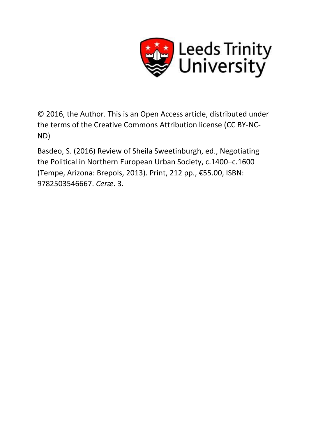

© 2016, the Author. This is an Open Access article, distributed under the terms of the Creative Commons Attribution license (CC BY-NC-ND)

Basdeo, S. (2016) Review of Sheila Sweetinburgh, ed., Negotiating the Political in Northern European Urban Society, c.1400–c.1600 (Tempe, Arizona: Brepols, 2013). Print, 212 pp., €55.00, ISBN: 9782503546667. *Ceræ*. 3.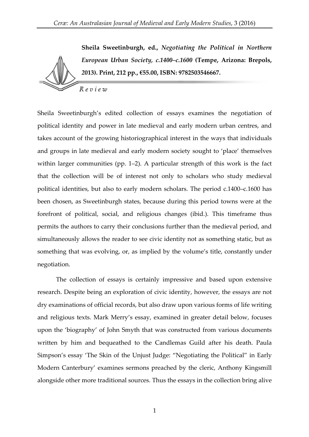**Sheila Sweetinburgh, ed.,** *Negotiating the Political in Northern European Urban Society, c.1400–c.1600* **(Tempe, Arizona: Brepols,**  *2***013). Print, 212 pp., €55.00, ISBN: 9782503546667.** Review

Sheila Sweetinburgh's edited collection of essays examines the negotiation of political identity and power in late medieval and early modern urban centres, and takes account of the growing historiographical interest in the ways that individuals and groups in late medieval and early modern society sought to 'place' themselves within larger communities (pp. 1–2). A particular strength of this work is the fact that the collection will be of interest not only to scholars who study medieval political identities, but also to early modern scholars. The period c.1400–c.1600 has been chosen, as Sweetinburgh states, because during this period towns were at the forefront of political, social, and religious changes (ibid.). This timeframe thus permits the authors to carry their conclusions further than the medieval period, and simultaneously allows the reader to see civic identity not as something static, but as something that was evolving, or, as implied by the volume's title, constantly under negotiation.

The collection of essays is certainly impressive and based upon extensive research. Despite being an exploration of civic identity, however, the essays are not dry examinations of official records, but also draw upon various forms of life writing and religious texts. Mark Merry's essay, examined in greater detail below, focuses upon the 'biography' of John Smyth that was constructed from various documents written by him and bequeathed to the Candlemas Guild after his death. Paula Simpson's essay 'The Skin of the Unjust Judge: "Negotiating the Political" in Early Modern Canterbury' examines sermons preached by the cleric, Anthony Kingsmill alongside other more traditional sources. Thus the essays in the collection bring alive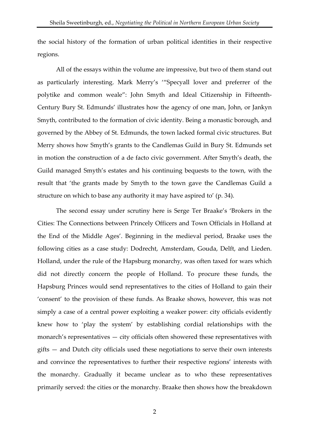the social history of the formation of urban political identities in their respective regions.

All of the essays within the volume are impressive, but two of them stand out as particularly interesting. Mark Merry's '"Specyall lover and preferrer of the polytike and common weale": John Smyth and Ideal Citizenship in Fifteenth-Century Bury St. Edmunds' illustrates how the agency of one man, John, or Jankyn Smyth, contributed to the formation of civic identity. Being a monastic borough, and governed by the Abbey of St. Edmunds, the town lacked formal civic structures. But Merry shows how Smyth's grants to the Candlemas Guild in Bury St. Edmunds set in motion the construction of a de facto civic government. After Smyth's death, the Guild managed Smyth's estates and his continuing bequests to the town, with the result that 'the grants made by Smyth to the town gave the Candlemas Guild a structure on which to base any authority it may have aspired to' (p. 34).

The second essay under scrutiny here is Serge Ter Braake's 'Brokers in the Cities: The Connections between Princely Officers and Town Officials in Holland at the End of the Middle Ages'. Beginning in the medieval period, Braake uses the following cities as a case study: Dodrecht, Amsterdam, Gouda, Delft, and Lieden. Holland, under the rule of the Hapsburg monarchy, was often taxed for wars which did not directly concern the people of Holland. To procure these funds, the Hapsburg Princes would send representatives to the cities of Holland to gain their 'consent' to the provision of these funds. As Braake shows, however, this was not simply a case of a central power exploiting a weaker power: city officials evidently knew how to 'play the system' by establishing cordial relationships with the monarch's representatives — city officials often showered these representatives with gifts — and Dutch city officials used these negotiations to serve their own interests and convince the representatives to further their respective regions' interests with the monarchy. Gradually it became unclear as to who these representatives primarily served: the cities or the monarchy. Braake then shows how the breakdown